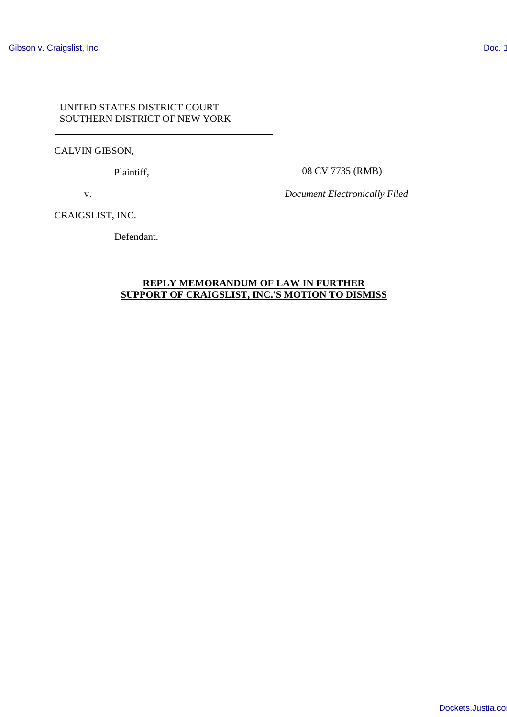## UNITED STATES DISTRICT COURT SOUTHERN DISTRICT OF NEW YORK

CALVIN GIBSON,

Plaintiff,

08 CV 7735 (RMB)

v.

CRAIGSLIST, INC.

Defendant.

*Document Electronically Filed*

## **REPLY MEMORANDUM OF LAW IN FURTHER SUPPORT OF CRAIGSLIST, INC.'S MOTION TO DISMISS**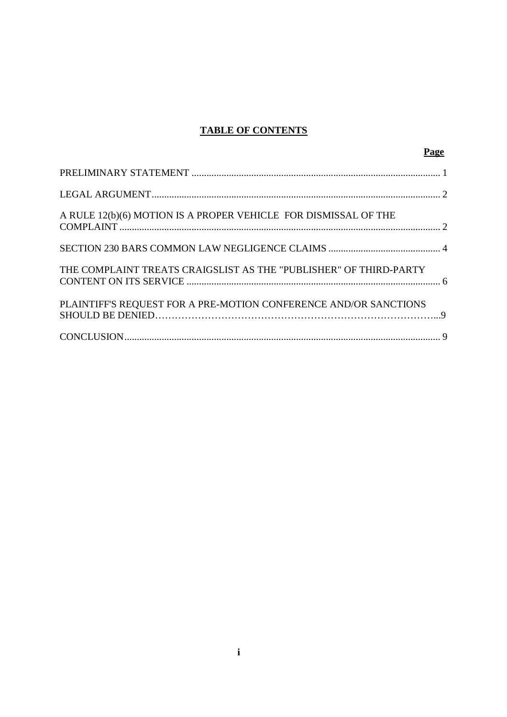# **TABLE OF CONTENTS**

| Page                                                              |  |
|-------------------------------------------------------------------|--|
|                                                                   |  |
|                                                                   |  |
| A RULE 12(b)(6) MOTION IS A PROPER VEHICLE FOR DISMISSAL OF THE   |  |
|                                                                   |  |
| THE COMPLAINT TREATS CRAIGSLIST AS THE "PUBLISHER" OF THIRD-PARTY |  |
| PLAINTIFF'S REQUEST FOR A PRE-MOTION CONFERENCE AND/OR SANCTIONS  |  |
|                                                                   |  |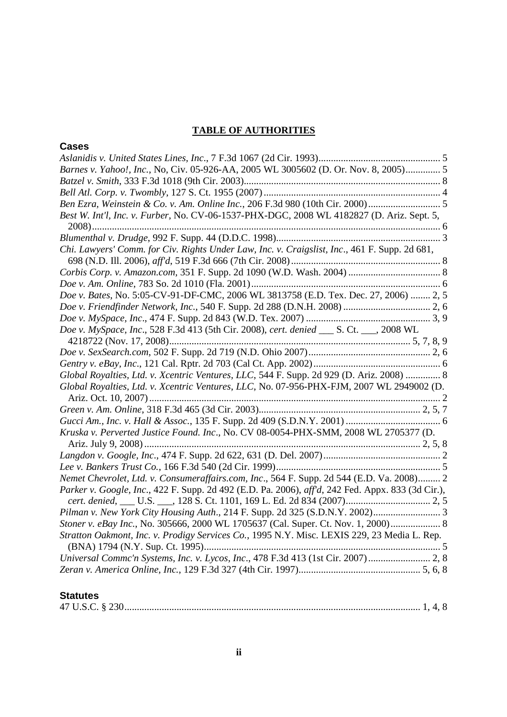# **TABLE OF AUTHORITIES**

| <b>Cases</b>                                                                                      |
|---------------------------------------------------------------------------------------------------|
|                                                                                                   |
| Barnes v. Yahoo!, Inc., No, Civ. 05-926-AA, 2005 WL 3005602 (D. Or. Nov. 8, 2005) 5               |
|                                                                                                   |
|                                                                                                   |
|                                                                                                   |
| Best W. Int'l, Inc. v. Furber, No. CV-06-1537-PHX-DGC, 2008 WL 4182827 (D. Ariz. Sept. 5,         |
|                                                                                                   |
| Chi. Lawyers' Comm. for Civ. Rights Under Law, Inc. v. Craigslist, Inc., 461 F. Supp. 2d 681,     |
|                                                                                                   |
|                                                                                                   |
| Doe v. Bates, No. 5:05-CV-91-DF-CMC, 2006 WL 3813758 (E.D. Tex. Dec. 27, 2006)  2, 5              |
|                                                                                                   |
|                                                                                                   |
| Doe v. MySpace, Inc., 528 F.3d 413 (5th Cir. 2008), cert. denied ___ S. Ct. ___, 2008 WL          |
|                                                                                                   |
|                                                                                                   |
| Global Royalties, Ltd. v. Xcentric Ventures, LLC, 544 F. Supp. 2d 929 (D. Ariz. 2008)  8          |
| Global Royalties, Ltd. v. Xcentric Ventures, LLC, No. 07-956-PHX-FJM, 2007 WL 2949002 (D.         |
|                                                                                                   |
|                                                                                                   |
| Kruska v. Perverted Justice Found. Inc., No. CV 08-0054-PHX-SMM, 2008 WL 2705377 (D.              |
|                                                                                                   |
|                                                                                                   |
| Nemet Chevrolet, Ltd. v. Consumeraffairs.com, Inc., 564 F. Supp. 2d 544 (E.D. Va. 2008) 2         |
| Parker v. Google, Inc., 422 F. Supp. 2d 492 (E.D. Pa. 2006), aff'd, 242 Fed. Appx. 833 (3d Cir.), |
|                                                                                                   |
| Stoner v. eBay Inc., No. 305666, 2000 WL 1705637 (Cal. Super. Ct. Nov. 1, 2000) 8                 |
| Stratton Oakmont, Inc. v. Prodigy Services Co., 1995 N.Y. Misc. LEXIS 229, 23 Media L. Rep.       |
| Universal Commc'n Systems, Inc. v. Lycos, Inc., 478 F.3d 413 (1st Cir. 2007) 2, 8                 |
|                                                                                                   |

## **Statutes**

|--|--|--|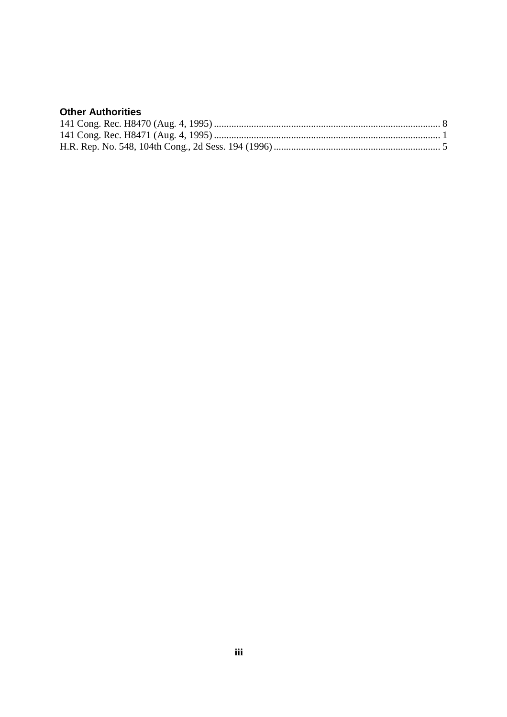# **Other Authorities**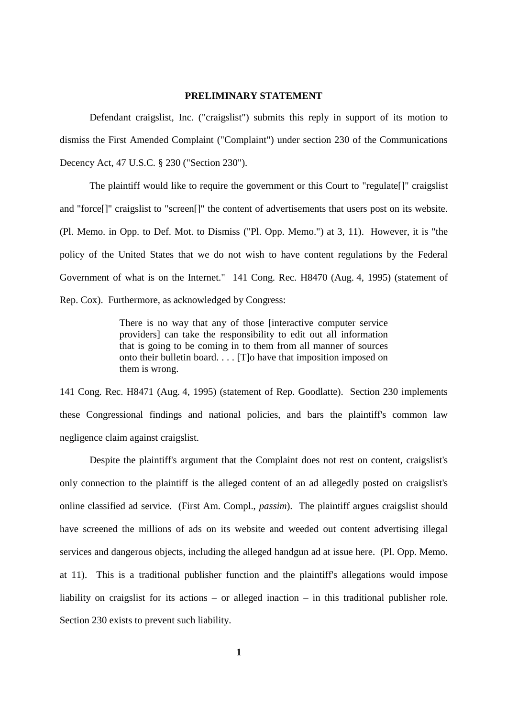#### **PRELIMINARY STATEMENT**

Defendant craigslist, Inc. ("craigslist") submits this reply in support of its motion to dismiss the First Amended Complaint ("Complaint") under section 230 of the Communications Decency Act, 47 U.S.C. § 230 ("Section 230").

The plaintiff would like to require the government or this Court to "regulate[]" craigslist and "force[]" craigslist to "screen[]" the content of advertisements that users post on its website. (Pl. Memo. in Opp. to Def. Mot. to Dismiss ("Pl. Opp. Memo.") at 3, 11). However, it is "the policy of the United States that we do not wish to have content regulations by the Federal Government of what is on the Internet." 141 Cong. Rec. H8470 (Aug. 4, 1995) (statement of Rep. Cox). Furthermore, as acknowledged by Congress:

> There is no way that any of those [interactive computer service providers] can take the responsibility to edit out all information that is going to be coming in to them from all manner of sources onto their bulletin board. . . . [T]o have that imposition imposed on them is wrong.

141 Cong. Rec. H8471 (Aug. 4, 1995) (statement of Rep. Goodlatte). Section 230 implements these Congressional findings and national policies, and bars the plaintiff's common law negligence claim against craigslist.

Despite the plaintiff's argument that the Complaint does not rest on content, craigslist's only connection to the plaintiff is the alleged content of an ad allegedly posted on craigslist's online classified ad service. (First Am. Compl., *passim*). The plaintiff argues craigslist should have screened the millions of ads on its website and weeded out content advertising illegal services and dangerous objects, including the alleged handgun ad at issue here. (Pl. Opp. Memo. at 11). This is a traditional publisher function and the plaintiff's allegations would impose liability on craigslist for its actions – or alleged inaction – in this traditional publisher role. Section 230 exists to prevent such liability.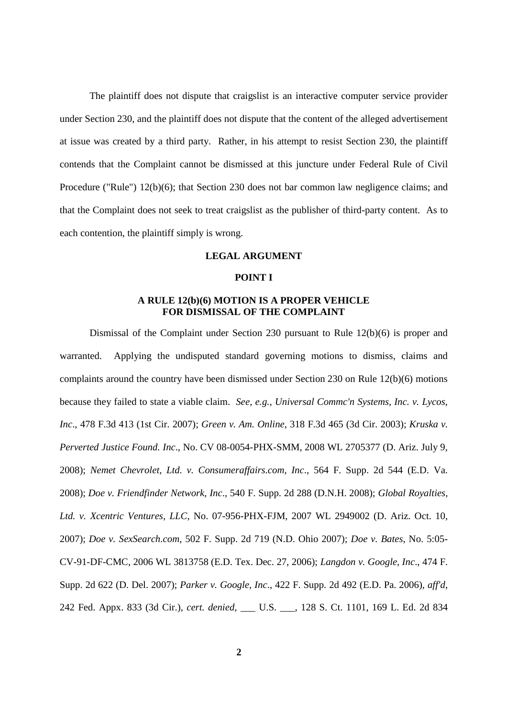The plaintiff does not dispute that craigslist is an interactive computer service provider under Section 230, and the plaintiff does not dispute that the content of the alleged advertisement at issue was created by a third party. Rather, in his attempt to resist Section 230, the plaintiff contends that the Complaint cannot be dismissed at this juncture under Federal Rule of Civil Procedure ("Rule") 12(b)(6); that Section 230 does not bar common law negligence claims; and that the Complaint does not seek to treat craigslist as the publisher of third-party content. As to each contention, the plaintiff simply is wrong.

#### **LEGAL ARGUMENT**

#### **POINT I**

## **A RULE 12(b)(6) MOTION IS A PROPER VEHICLE FOR DISMISSAL OF THE COMPLAINT**

Dismissal of the Complaint under Section 230 pursuant to Rule 12(b)(6) is proper and warranted. Applying the undisputed standard governing motions to dismiss, claims and complaints around the country have been dismissed under Section 230 on Rule 12(b)(6) motions because they failed to state a viable claim. *See, e.g.*, *Universal Commc'n Systems, Inc. v. Lycos, Inc*., 478 F.3d 413 (1st Cir. 2007); *Green v. Am. Online*, 318 F.3d 465 (3d Cir. 2003); *Kruska v. Perverted Justice Found. Inc*., No. CV 08-0054-PHX-SMM, 2008 WL 2705377 (D. Ariz. July 9, 2008); *Nemet Chevrolet, Ltd. v. Consumeraffairs.com, Inc*., 564 F. Supp. 2d 544 (E.D. Va. 2008); *Doe v. Friendfinder Network, Inc*., 540 F. Supp. 2d 288 (D.N.H. 2008); *Global Royalties, Ltd. v. Xcentric Ventures*, *LLC*, No. 07-956-PHX-FJM, 2007 WL 2949002 (D. Ariz. Oct. 10, 2007); *Doe v. SexSearch.com*, 502 F. Supp. 2d 719 (N.D. Ohio 2007); *Doe v. Bates*, No. 5:05- CV-91-DF-CMC, 2006 WL 3813758 (E.D. Tex. Dec. 27, 2006); *Langdon v. Google, Inc*., 474 F. Supp. 2d 622 (D. Del. 2007); *Parker v. Google, Inc*., 422 F. Supp. 2d 492 (E.D. Pa. 2006), *aff'd*, 242 Fed. Appx. 833 (3d Cir.), *cert. denied*, \_\_\_ U.S. \_\_\_, 128 S. Ct. 1101, 169 L. Ed. 2d 834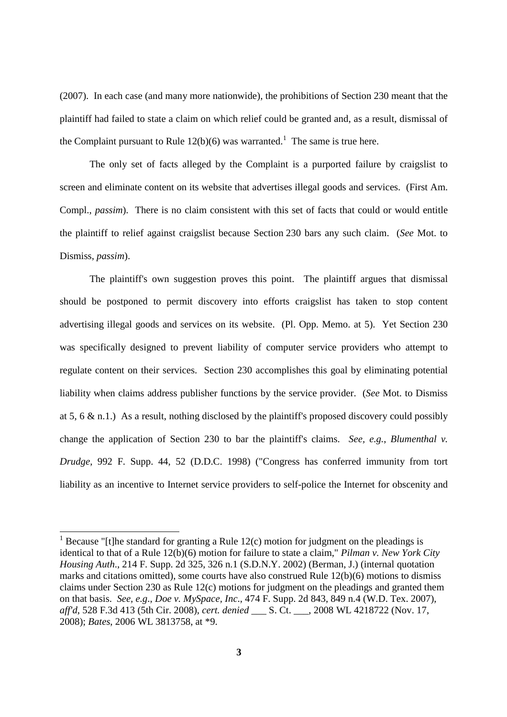(2007). In each case (and many more nationwide), the prohibitions of Section 230 meant that the plaintiff had failed to state a claim on which relief could be granted and, as a result, dismissal of the Complaint pursuant to Rule  $12(b)(6)$  was warranted.<sup>1</sup> The same is true here.

The only set of facts alleged by the Complaint is a purported failure by craigslist to screen and eliminate content on its website that advertises illegal goods and services. (First Am. Compl., *passim*). There is no claim consistent with this set of facts that could or would entitle the plaintiff to relief against craigslist because Section 230 bars any such claim. (*See* Mot. to Dismiss, *passim*).

The plaintiff's own suggestion proves this point. The plaintiff argues that dismissal should be postponed to permit discovery into efforts craigslist has taken to stop content advertising illegal goods and services on its website. (Pl. Opp. Memo. at 5). Yet Section 230 was specifically designed to prevent liability of computer service providers who attempt to regulate content on their services. Section 230 accomplishes this goal by eliminating potential liability when claims address publisher functions by the service provider. (*See* Mot. to Dismiss at 5, 6 & n.1.) As a result, nothing disclosed by the plaintiff's proposed discovery could possibly change the application of Section 230 to bar the plaintiff's claims. *See, e.g.*, *Blumenthal v. Drudge*, 992 F. Supp. 44, 52 (D.D.C. 1998) ("Congress has conferred immunity from tort liability as an incentive to Internet service providers to self-police the Internet for obscenity and

<sup>&</sup>lt;sup>1</sup> Because "[t]he standard for granting a Rule  $12(c)$  motion for judgment on the pleadings is identical to that of a Rule 12(b)(6) motion for failure to state a claim," *Pilman v. New York City Housing Auth*., 214 F. Supp. 2d 325, 326 n.1 (S.D.N.Y. 2002) (Berman, J.) (internal quotation marks and citations omitted), some courts have also construed Rule 12(b)(6) motions to dismiss claims under Section 230 as Rule 12(c) motions for judgment on the pleadings and granted them on that basis. *See, e.g*., *Doe v. MySpace, Inc*., 474 F. Supp. 2d 843, 849 n.4 (W.D. Tex. 2007), *aff'd*, 528 F.3d 413 (5th Cir. 2008), *cert. denied* \_\_\_ S. Ct. \_\_\_, 2008 WL 4218722 (Nov. 17, 2008); *Bates*, 2006 WL 3813758, at \*9.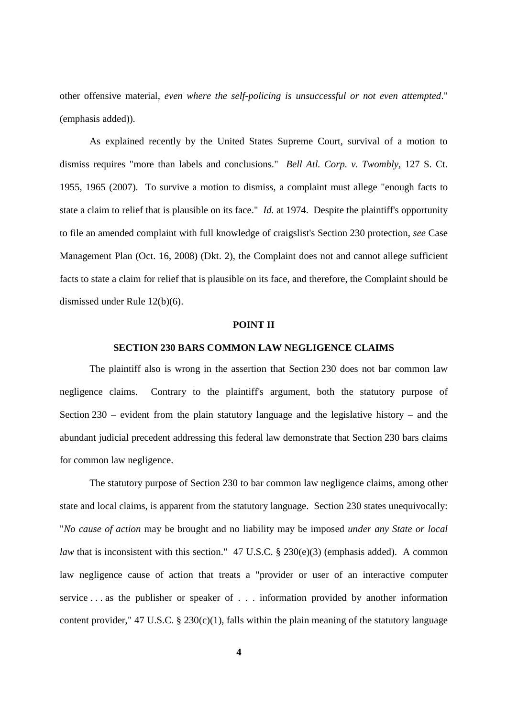other offensive material, *even where the self-policing is unsuccessful or not even attempted*." (emphasis added)).

As explained recently by the United States Supreme Court, survival of a motion to dismiss requires "more than labels and conclusions." *Bell Atl. Corp. v. Twombly*, 127 S. Ct. 1955, 1965 (2007). To survive a motion to dismiss, a complaint must allege "enough facts to state a claim to relief that is plausible on its face." *Id.* at 1974. Despite the plaintiff's opportunity to file an amended complaint with full knowledge of craigslist's Section 230 protection, *see* Case Management Plan (Oct. 16, 2008) (Dkt. 2), the Complaint does not and cannot allege sufficient facts to state a claim for relief that is plausible on its face, and therefore, the Complaint should be dismissed under Rule 12(b)(6).

#### **POINT II**

### **SECTION 230 BARS COMMON LAW NEGLIGENCE CLAIMS**

The plaintiff also is wrong in the assertion that Section 230 does not bar common law negligence claims. Contrary to the plaintiff's argument, both the statutory purpose of Section 230 – evident from the plain statutory language and the legislative history – and the abundant judicial precedent addressing this federal law demonstrate that Section 230 bars claims for common law negligence.

The statutory purpose of Section 230 to bar common law negligence claims, among other state and local claims, is apparent from the statutory language. Section 230 states unequivocally: "*No cause of action* may be brought and no liability may be imposed *under any State or local law* that is inconsistent with this section." 47 U.S.C. § 230(e)(3) (emphasis added). A common law negligence cause of action that treats a "provider or user of an interactive computer service . . . as the publisher or speaker of . . . information provided by another information content provider," 47 U.S.C. § 230(c)(1), falls within the plain meaning of the statutory language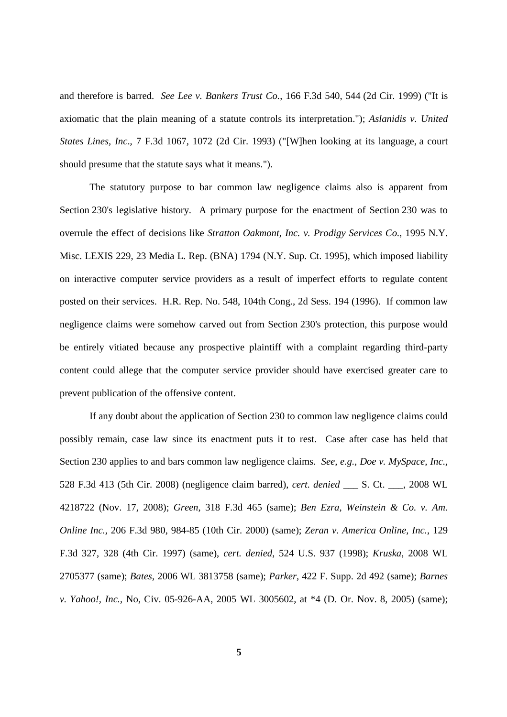and therefore is barred. *See Lee v. Bankers Trust Co.*, 166 F.3d 540, 544 (2d Cir. 1999) ("It is axiomatic that the plain meaning of a statute controls its interpretation."); *Aslanidis v. United States Lines, Inc*., 7 F.3d 1067, 1072 (2d Cir. 1993) ("[W]hen looking at its language, a court should presume that the statute says what it means.").

The statutory purpose to bar common law negligence claims also is apparent from Section 230's legislative history. A primary purpose for the enactment of Section 230 was to overrule the effect of decisions like *Stratton Oakmont, Inc. v. Prodigy Services Co.*, 1995 N.Y. Misc. LEXIS 229, 23 Media L. Rep. (BNA) 1794 (N.Y. Sup. Ct. 1995), which imposed liability on interactive computer service providers as a result of imperfect efforts to regulate content posted on their services. H.R. Rep. No. 548, 104th Cong., 2d Sess. 194 (1996). If common law negligence claims were somehow carved out from Section 230's protection, this purpose would be entirely vitiated because any prospective plaintiff with a complaint regarding third-party content could allege that the computer service provider should have exercised greater care to prevent publication of the offensive content.

If any doubt about the application of Section 230 to common law negligence claims could possibly remain, case law since its enactment puts it to rest. Case after case has held that Section 230 applies to and bars common law negligence claims. *See, e.g.*, *Doe v. MySpace, Inc*., 528 F.3d 413 (5th Cir. 2008) (negligence claim barred), *cert. denied* \_\_\_ S. Ct. \_\_\_, 2008 WL 4218722 (Nov. 17, 2008); *Green*, 318 F.3d 465 (same); *Ben Ezra, Weinstein & Co. v. Am. Online Inc.*, 206 F.3d 980, 984-85 (10th Cir. 2000) (same); *Zeran v. America Online, Inc.*, 129 F.3d 327, 328 (4th Cir. 1997) (same), *cert. denied*, 524 U.S. 937 (1998); *Kruska*, 2008 WL 2705377 (same); *Bates*, 2006 WL 3813758 (same); *Parker*, 422 F. Supp. 2d 492 (same); *Barnes v. Yahoo!, Inc.*, No, Civ. 05-926-AA, 2005 WL 3005602, at \*4 (D. Or. Nov. 8, 2005) (same);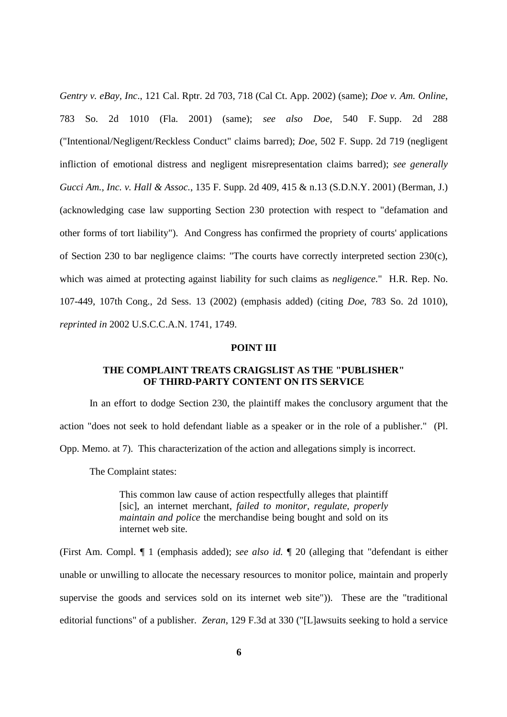*Gentry v. eBay, Inc*., 121 Cal. Rptr. 2d 703, 718 (Cal Ct. App. 2002) (same); *Doe v. Am. Online*, 783 So. 2d 1010 (Fla. 2001) (same); *see also Doe*, 540 F. Supp. 2d 288 ("Intentional/Negligent/Reckless Conduct" claims barred); *Doe*, 502 F. Supp. 2d 719 (negligent infliction of emotional distress and negligent misrepresentation claims barred); *see generally Gucci Am., Inc. v. Hall & Assoc.*, 135 F. Supp. 2d 409, 415 & n.13 (S.D.N.Y. 2001) (Berman, J.) (acknowledging case law supporting Section 230 protection with respect to "defamation and other forms of tort liability"). And Congress has confirmed the propriety of courts' applications of Section 230 to bar negligence claims: "The courts have correctly interpreted section 230(c), which was aimed at protecting against liability for such claims as *negligence*." H.R. Rep. No. 107-449, 107th Cong., 2d Sess. 13 (2002) (emphasis added) (citing *Doe*, 783 So. 2d 1010), *reprinted in* 2002 U.S.C.C.A.N. 1741, 1749.

#### **POINT III**

## **THE COMPLAINT TREATS CRAIGSLIST AS THE "PUBLISHER" OF THIRD-PARTY CONTENT ON ITS SERVICE**

In an effort to dodge Section 230, the plaintiff makes the conclusory argument that the action "does not seek to hold defendant liable as a speaker or in the role of a publisher." (Pl. Opp. Memo. at 7). This characterization of the action and allegations simply is incorrect.

The Complaint states:

This common law cause of action respectfully alleges that plaintiff [sic], an internet merchant, *failed to monitor, regulate, properly maintain and police* the merchandise being bought and sold on its internet web site.

(First Am. Compl. ¶ 1 (emphasis added); *see also id.* ¶ 20 (alleging that "defendant is either unable or unwilling to allocate the necessary resources to monitor police, maintain and properly supervise the goods and services sold on its internet web site")). These are the "traditional editorial functions" of a publisher. *Z*e*ran*, 129 F.3d at 330 ("[L]awsuits seeking to hold a service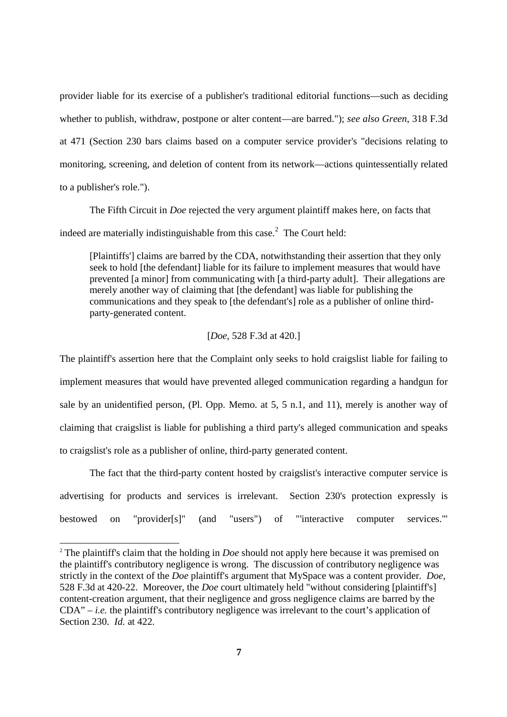provider liable for its exercise of a publisher's traditional editorial functions—such as deciding whether to publish, withdraw, postpone or alter content—are barred."); *see also Green*, 318 F.3d at 471 (Section 230 bars claims based on a computer service provider's "decisions relating to monitoring, screening, and deletion of content from its network—actions quintessentially related to a publisher's role.").

The Fifth Circuit in *Doe* rejected the very argument plaintiff makes here, on facts that indeed are materially indistinguishable from this case.<sup>2</sup> The Court held:

[Plaintiffs'] claims are barred by the CDA, notwithstanding their assertion that they only seek to hold [the defendant] liable for its failure to implement measures that would have prevented [a minor] from communicating with [a third-party adult]. Their allegations are merely another way of claiming that [the defendant] was liable for publishing the communications and they speak to [the defendant's] role as a publisher of online thirdparty-generated content.

#### [*Doe*, 528 F.3d at 420.]

The plaintiff's assertion here that the Complaint only seeks to hold craigslist liable for failing to implement measures that would have prevented alleged communication regarding a handgun for sale by an unidentified person, (Pl. Opp. Memo. at 5, 5 n.1, and 11), merely is another way of claiming that craigslist is liable for publishing a third party's alleged communication and speaks to craigslist's role as a publisher of online, third-party generated content.

The fact that the third-party content hosted by craigslist's interactive computer service is advertising for products and services is irrelevant. Section 230's protection expressly is bestowed on "provider[s]" (and "users") of "'interactive computer services.'"

<sup>2</sup> The plaintiff's claim that the holding in *Doe* should not apply here because it was premised on the plaintiff's contributory negligence is wrong. The discussion of contributory negligence was strictly in the context of the *Doe* plaintiff's argument that MySpace was a content provider. *Doe*, 528 F.3d at 420-22. Moreover, the *Doe* court ultimately held "without considering [plaintiff's] content-creation argument, that their negligence and gross negligence claims are barred by the  $CDA" - i.e.$  the plaintiff's contributory negligence was irrelevant to the court's application of Section 230. *Id.* at 422.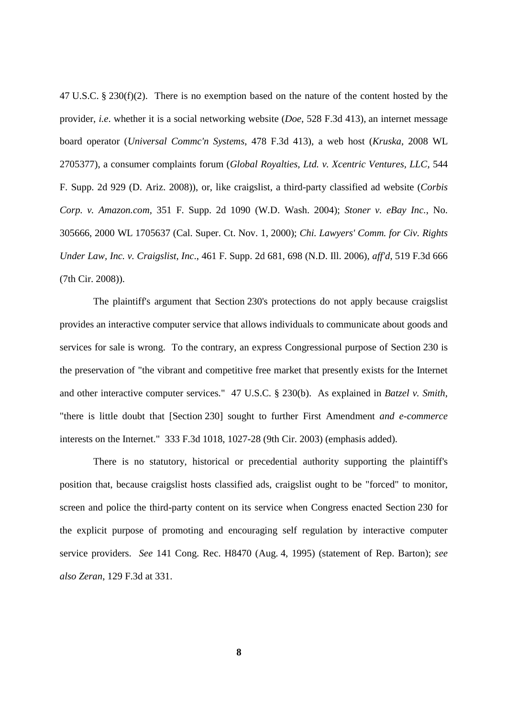47 U.S.C. § 230(f)(2). There is no exemption based on the nature of the content hosted by the provider, *i.e*. whether it is a social networking website (*Doe*, 528 F.3d 413), an internet message board operator (*Universal Commc'n Systems*, 478 F.3d 413), a web host (*Kruska*, 2008 WL 2705377), a consumer complaints forum (*Global Royalties, Ltd. v. Xcentric Ventures, LLC*, 544 F. Supp. 2d 929 (D. Ariz. 2008)), or, like craigslist, a third-party classified ad website (*Corbis Corp. v. Amazon.com,* 351 F. Supp. 2d 1090 (W.D. Wash. 2004); *Stoner v. eBay Inc.*, No. 305666, 2000 WL 1705637 (Cal. Super. Ct. Nov. 1, 2000); *Chi. Lawyers' Comm. for Civ. Rights Under Law, Inc. v. Craigslist, Inc*., 461 F. Supp. 2d 681, 698 (N.D. Ill. 2006), *aff'd*, 519 F.3d 666 (7th Cir. 2008)).

The plaintiff's argument that Section 230's protections do not apply because craigslist provides an interactive computer service that allows individuals to communicate about goods and services for sale is wrong. To the contrary, an express Congressional purpose of Section 230 is the preservation of "the vibrant and competitive free market that presently exists for the Internet and other interactive computer services." 47 U.S.C. § 230(b). As explained in *Batzel v. Smith*, "there is little doubt that [Section 230] sought to further First Amendment *and e-commerce* interests on the Internet." 333 F.3d 1018, 1027-28 (9th Cir. 2003) (emphasis added).

There is no statutory, historical or precedential authority supporting the plaintiff's position that, because craigslist hosts classified ads, craigslist ought to be "forced" to monitor, screen and police the third-party content on its service when Congress enacted Section 230 for the explicit purpose of promoting and encouraging self regulation by interactive computer service providers. *See* 141 Cong. Rec. H8470 (Aug. 4, 1995) (statement of Rep. Barton); *see also Zeran*, 129 F.3d at 331.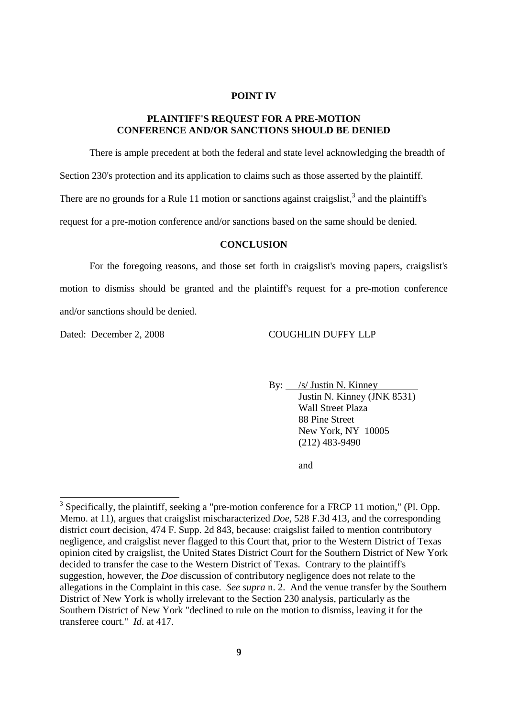#### **POINT IV**

## **PLAINTIFF'S REQUEST FOR A PRE-MOTION CONFERENCE AND/OR SANCTIONS SHOULD BE DENIED**

There is ample precedent at both the federal and state level acknowledging the breadth of Section 230's protection and its application to claims such as those asserted by the plaintiff. There are no grounds for a Rule 11 motion or sanctions against craigslist,<sup>3</sup> and the plaintiff's request for a pre-motion conference and/or sanctions based on the same should be denied.

#### **CONCLUSION**

For the foregoing reasons, and those set forth in craigslist's moving papers, craigslist's motion to dismiss should be granted and the plaintiff's request for a pre-motion conference and/or sanctions should be denied.

### Dated: December 2, 2008 COUGHLIN DUFFY LLP

By: */s/ Justin N. Kinney* Justin N. Kinney (JNK 8531) Wall Street Plaza 88 Pine Street New York, NY 10005 (212) 483-9490

and

 $3$  Specifically, the plaintiff, seeking a "pre-motion conference for a FRCP 11 motion," (Pl. Opp. Memo. at 11), argues that craigslist mischaracterized *Doe*, 528 F.3d 413, and the corresponding district court decision, 474 F. Supp. 2d 843, because: craigslist failed to mention contributory negligence, and craigslist never flagged to this Court that, prior to the Western District of Texas opinion cited by craigslist, the United States District Court for the Southern District of New York decided to transfer the case to the Western District of Texas. Contrary to the plaintiff's suggestion, however, the *Doe* discussion of contributory negligence does not relate to the allegations in the Complaint in this case. *See supra* n. 2. And the venue transfer by the Southern District of New York is wholly irrelevant to the Section 230 analysis, particularly as the Southern District of New York "declined to rule on the motion to dismiss, leaving it for the transferee court." *Id*. at 417.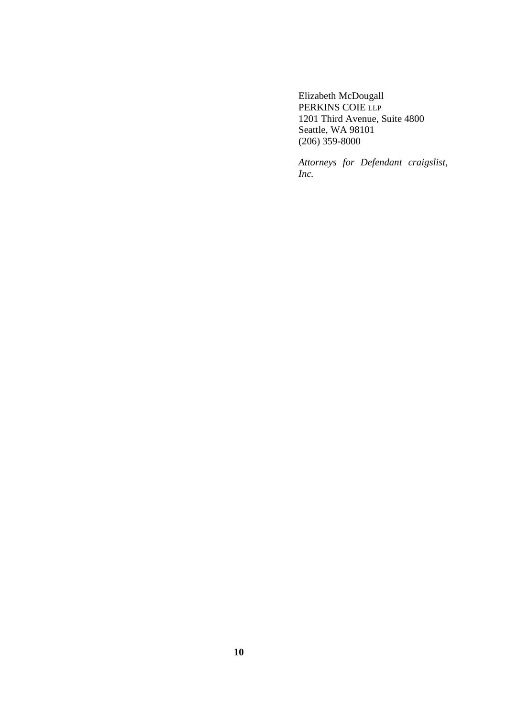Elizabeth McDougall PERKINS COIE LLP 1201 Third Avenue, Suite 4800 Seattle, WA 98101 (206) 359-8000

*Attorneys for Defendant craigslist, Inc.*